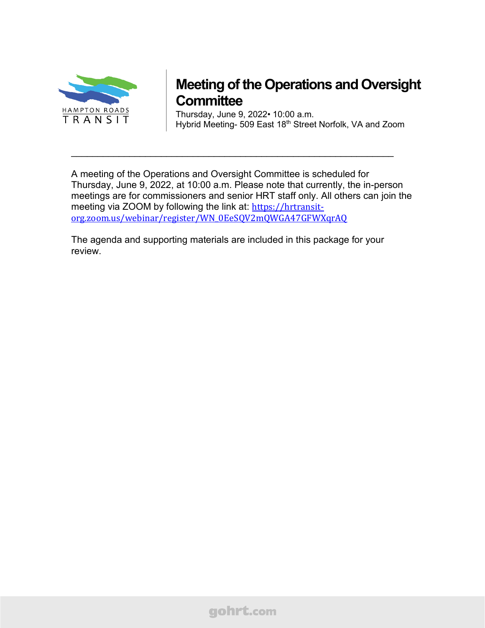

# **Meeting of the Operations and Oversight Committee**

Thursday, June 9, 2022• 10:00 a.m. Hybrid Meeting- 509 East 18<sup>th</sup> Street Norfolk, VA and Zoom

A meeting of the Operations and Oversight Committee is scheduled for Thursday, June 9, 2022, at 10:00 a.m. Please note that currently, the in-person meetings are for commissioners and senior HRT staff only. All others can join the meeting via ZOOM by following the link at: [https://hrtransit](https://hrtransit-org.zoom.us/webinar/register/WN_0EeSQV2mQWGA47GFWXqrAQ)[org.zoom.us/webinar/register/WN\\_0EeSQV2mQWGA47GFWXqrAQ](https://hrtransit-org.zoom.us/webinar/register/WN_0EeSQV2mQWGA47GFWXqrAQ)

\_\_\_\_\_\_\_\_\_\_\_\_\_\_\_\_\_\_\_\_\_\_\_\_\_\_\_\_\_\_\_\_\_\_\_\_\_\_\_\_\_\_\_\_\_\_\_\_\_\_\_\_\_\_\_\_\_\_\_\_\_

The agenda and supporting materials are included in this package for your review.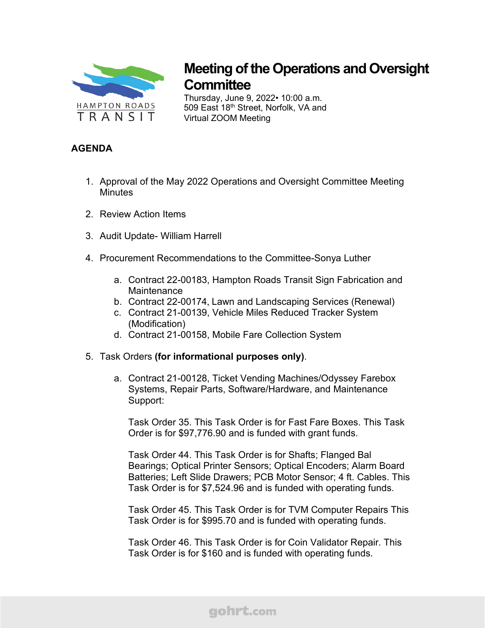

# **Meeting of the Operations and Oversight Committee**

Thursday, June 9, 2022• 10:00 a.m. 509 East 18<sup>th</sup> Street, Norfolk, VA and Virtual ZOOM Meeting

# **AGENDA**

- 1. Approval of the May 2022 Operations and Oversight Committee Meeting **Minutes**
- 2. Review Action Items
- 3. Audit Update- William Harrell
- 4. Procurement Recommendations to the Committee-Sonya Luther
	- a. Contract 22-00183, Hampton Roads Transit Sign Fabrication and Maintenance
	- b. Contract 22-00174, Lawn and Landscaping Services (Renewal)
	- c. Contract 21-00139, Vehicle Miles Reduced Tracker System (Modification)
	- d. Contract 21-00158, Mobile Fare Collection System
- 5. Task Orders **(for informational purposes only)**.
	- a. Contract 21-00128, Ticket Vending Machines/Odyssey Farebox Systems, Repair Parts, Software/Hardware, and Maintenance Support:

Task Order 35. This Task Order is for Fast Fare Boxes. This Task Order is for \$97,776.90 and is funded with grant funds.

Task Order 44. This Task Order is for Shafts; Flanged Bal Bearings; Optical Printer Sensors; Optical Encoders; Alarm Board Batteries; Left Slide Drawers; PCB Motor Sensor; 4 ft. Cables. This Task Order is for \$7,524.96 and is funded with operating funds.

Task Order 45. This Task Order is for TVM Computer Repairs This Task Order is for \$995.70 and is funded with operating funds.

Task Order 46. This Task Order is for Coin Validator Repair. This Task Order is for \$160 and is funded with operating funds.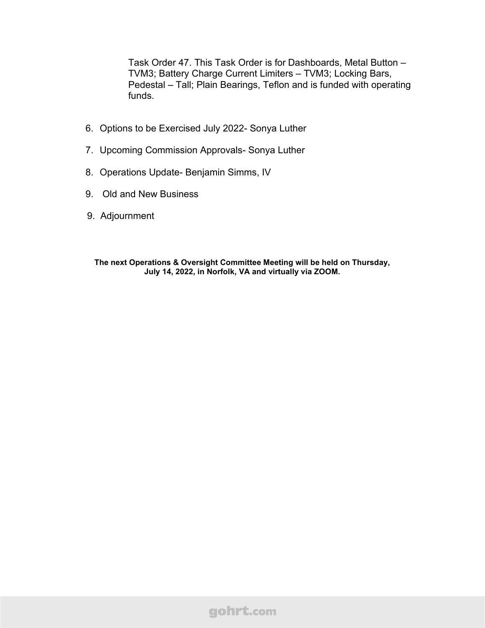Task Order 47. This Task Order is for Dashboards, Metal Button – TVM3; Battery Charge Current Limiters – TVM3; Locking Bars, Pedestal – Tall; Plain Bearings, Teflon and is funded with operating funds.

- 6. Options to be Exercised July 2022- Sonya Luther
- 7. Upcoming Commission Approvals- Sonya Luther
- 8. Operations Update- Benjamin Simms, IV
- 9. Old and New Business
- 9. Adjournment

**The next Operations & Oversight Committee Meeting will be held on Thursday, July 14, 2022, in Norfolk, VA and virtually via ZOOM.**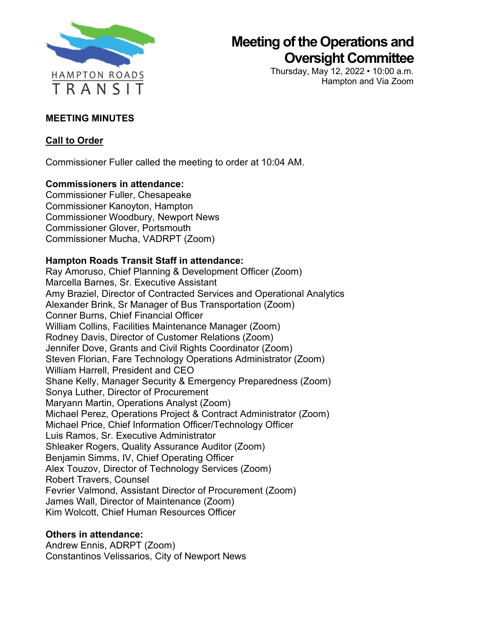

# **Meeting of the Operations and Oversight Committee**

Thursday, May 12, 2022 • 10:00 a.m. Hampton and Via Zoom

# **MEETING MINUTES**

# **Call to Order**

Commissioner Fuller called the meeting to order at 10:04 AM.

# **Commissioners in attendance:**

Commissioner Fuller, Chesapeake Commissioner Kanoyton, Hampton Commissioner Woodbury, Newport News Commissioner Glover, Portsmouth Commissioner Mucha, VADRPT (Zoom)

# **Hampton Roads Transit Staff in attendance:**

Ray Amoruso, Chief Planning & Development Officer (Zoom) Marcella Barnes, Sr. Executive Assistant Amy Braziel, Director of Contracted Services and Operational Analytics Alexander Brink, Sr Manager of Bus Transportation (Zoom) Conner Burns, Chief Financial Officer William Collins, Facilities Maintenance Manager (Zoom) Rodney Davis, Director of Customer Relations (Zoom) Jennifer Dove, Grants and Civil Rights Coordinator (Zoom) Steven Florian, Fare Technology Operations Administrator (Zoom) William Harrell, President and CEO Shane Kelly, Manager Security & Emergency Preparedness (Zoom) Sonya Luther, Director of Procurement Maryann Martin, Operations Analyst (Zoom) Michael Perez, Operations Project & Contract Administrator (Zoom) Michael Price, Chief Information Officer/Technology Officer Luis Ramos, Sr. Executive Administrator Shleaker Rogers, Quality Assurance Auditor (Zoom) Benjamin Simms, IV, Chief Operating Officer Alex Touzov, Director of Technology Services (Zoom) Robert Travers, Counsel Fevrier Valmond, Assistant Director of Procurement (Zoom) James Wall, Director of Maintenance (Zoom) Kim Wolcott, Chief Human Resources Officer

# **Others in attendance:**

Andrew Ennis, ADRPT (Zoom) Constantinos Velissarios, City of Newport News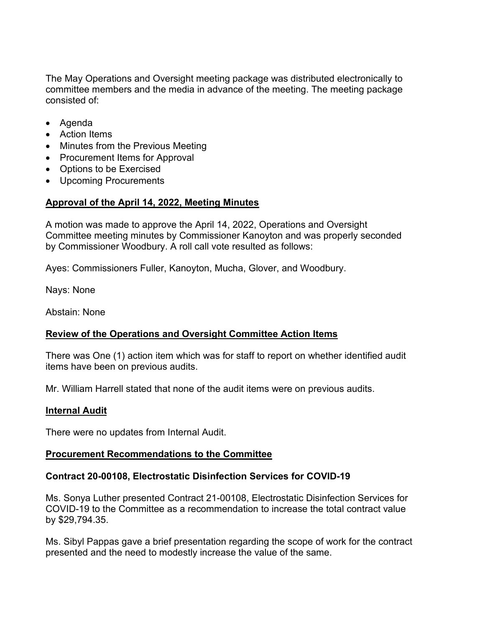The May Operations and Oversight meeting package was distributed electronically to committee members and the media in advance of the meeting. The meeting package consisted of:

- Agenda
- Action Items
- Minutes from the Previous Meeting
- Procurement Items for Approval
- Options to be Exercised
- Upcoming Procurements

# **Approval of the April 14, 2022, Meeting Minutes**

A motion was made to approve the April 14, 2022, Operations and Oversight Committee meeting minutes by Commissioner Kanoyton and was properly seconded by Commissioner Woodbury. A roll call vote resulted as follows:

Ayes: Commissioners Fuller, Kanoyton, Mucha, Glover, and Woodbury.

Nays: None

Abstain: None

# **Review of the Operations and Oversight Committee Action Items**

There was One (1) action item which was for staff to report on whether identified audit items have been on previous audits.

Mr. William Harrell stated that none of the audit items were on previous audits.

#### **Internal Audit**

There were no updates from Internal Audit.

# **Procurement Recommendations to the Committee**

# **Contract 20-00108, Electrostatic Disinfection Services for COVID-19**

Ms. Sonya Luther presented Contract 21-00108, Electrostatic Disinfection Services for COVID-19 to the Committee as a recommendation to increase the total contract value by \$29,794.35.

Ms. Sibyl Pappas gave a brief presentation regarding the scope of work for the contract presented and the need to modestly increase the value of the same.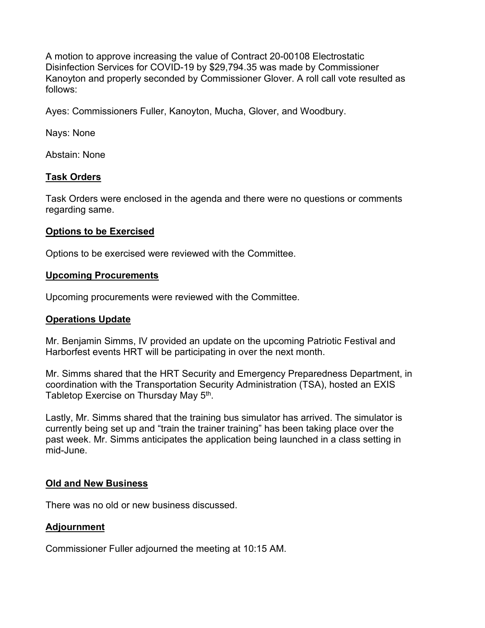A motion to approve increasing the value of Contract 20-00108 Electrostatic Disinfection Services for COVID-19 by \$29,794.35 was made by Commissioner Kanoyton and properly seconded by Commissioner Glover. A roll call vote resulted as follows:

Ayes: Commissioners Fuller, Kanoyton, Mucha, Glover, and Woodbury.

Nays: None

Abstain: None

#### **Task Orders**

Task Orders were enclosed in the agenda and there were no questions or comments regarding same.

#### **Options to be Exercised**

Options to be exercised were reviewed with the Committee.

#### **Upcoming Procurements**

Upcoming procurements were reviewed with the Committee.

#### **Operations Update**

Mr. Benjamin Simms, IV provided an update on the upcoming Patriotic Festival and Harborfest events HRT will be participating in over the next month.

Mr. Simms shared that the HRT Security and Emergency Preparedness Department, in coordination with the Transportation Security Administration (TSA), hosted an EXIS Tabletop Exercise on Thursday May 5<sup>th</sup>.

Lastly, Mr. Simms shared that the training bus simulator has arrived. The simulator is currently being set up and "train the trainer training" has been taking place over the past week. Mr. Simms anticipates the application being launched in a class setting in mid-June.

#### **Old and New Business**

There was no old or new business discussed.

#### **Adjournment**

Commissioner Fuller adjourned the meeting at 10:15 AM.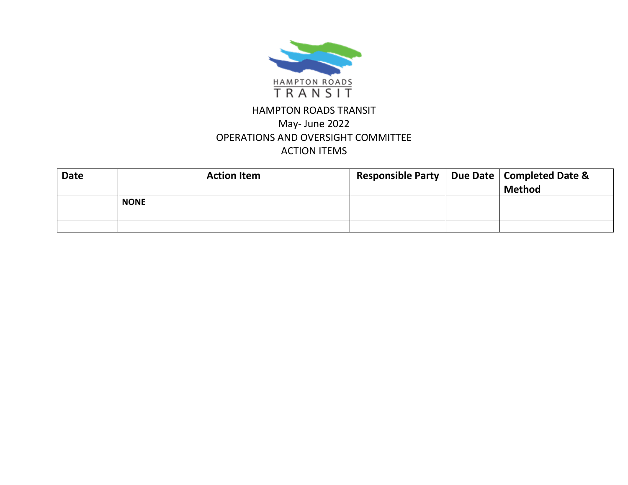

# HAMPTON ROADS TRANSIT May- June 2022 OPERATIONS AND OVERSIGHT COMMITTEE ACTION ITEMS

| <b>Date</b> | <b>Action Item</b> | Responsible Party   Due Date   Completed Date & | <b>Method</b> |
|-------------|--------------------|-------------------------------------------------|---------------|
|             | <b>NONE</b>        |                                                 |               |
|             |                    |                                                 |               |
|             |                    |                                                 |               |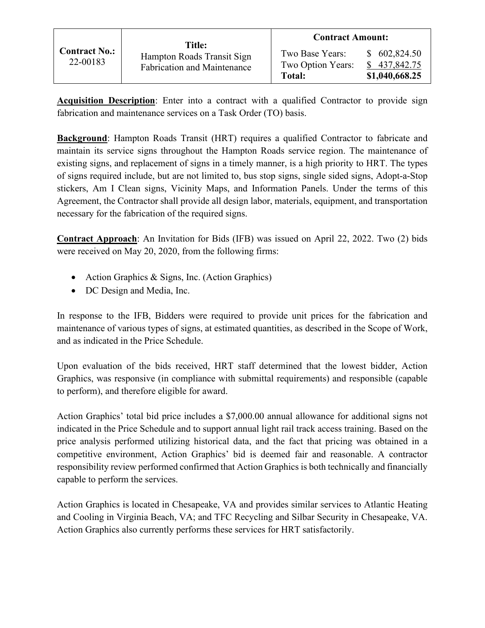|                                  | Title:                                                           | <b>Contract Amount:</b>                        |                                                |
|----------------------------------|------------------------------------------------------------------|------------------------------------------------|------------------------------------------------|
| <b>Contract No.:</b><br>22-00183 | Hampton Roads Transit Sign<br><b>Fabrication and Maintenance</b> | Two Base Years:<br>Two Option Years:<br>Total: | \$602,824.50<br>\$437,842.75<br>\$1,040,668.25 |

**Acquisition Description**: Enter into a contract with a qualified Contractor to provide sign fabrication and maintenance services on a Task Order (TO) basis.

**Background**: Hampton Roads Transit (HRT) requires a qualified Contractor to fabricate and maintain its service signs throughout the Hampton Roads service region. The maintenance of existing signs, and replacement of signs in a timely manner, is a high priority to HRT. The types of signs required include, but are not limited to, bus stop signs, single sided signs, Adopt-a-Stop stickers, Am I Clean signs, Vicinity Maps, and Information Panels. Under the terms of this Agreement, the Contractor shall provide all design labor, materials, equipment, and transportation necessary for the fabrication of the required signs.

**Contract Approach**: An Invitation for Bids (IFB) was issued on April 22, 2022. Two (2) bids were received on May 20, 2020, from the following firms:

- Action Graphics & Signs, Inc. (Action Graphics)
- DC Design and Media, Inc.

In response to the IFB, Bidders were required to provide unit prices for the fabrication and maintenance of various types of signs, at estimated quantities, as described in the Scope of Work, and as indicated in the Price Schedule.

Upon evaluation of the bids received, HRT staff determined that the lowest bidder, Action Graphics, was responsive (in compliance with submittal requirements) and responsible (capable to perform), and therefore eligible for award.

Action Graphics' total bid price includes a \$7,000.00 annual allowance for additional signs not indicated in the Price Schedule and to support annual light rail track access training. Based on the price analysis performed utilizing historical data, and the fact that pricing was obtained in a competitive environment, Action Graphics' bid is deemed fair and reasonable. A contractor responsibility review performed confirmed that Action Graphics is both technically and financially capable to perform the services.

Action Graphics is located in Chesapeake, VA and provides similar services to Atlantic Heating and Cooling in Virginia Beach, VA; and TFC Recycling and Silbar Security in Chesapeake, VA. Action Graphics also currently performs these services for HRT satisfactorily.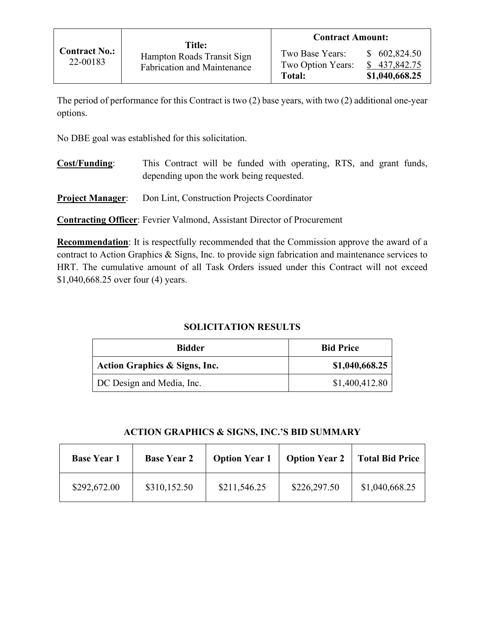The period of performance for this Contract is two (2) base years, with two (2) additional one-year options.

No DBE goal was established for this solicitation.

- **Cost/Funding**: This Contract will be funded with operating, RTS, and grant funds, depending upon the work being requested.
- **Project Manager**: Don Lint, Construction Projects Coordinator

**Contracting Officer**: Fevrier Valmond, Assistant Director of Procurement

**Recommendation**: It is respectfully recommended that the Commission approve the award of a contract to Action Graphics & Signs, Inc. to provide sign fabrication and maintenance services to HRT. The cumulative amount of all Task Orders issued under this Contract will not exceed \$1,040,668.25 over four (4) years.

# **SOLICITATION RESULTS**

| <b>Bidder</b>                 | <b>Bid Price</b> |
|-------------------------------|------------------|
| Action Graphics & Signs, Inc. | \$1,040,668.25   |
| DC Design and Media, Inc.     | \$1,400,412.80   |

#### **ACTION GRAPHICS & SIGNS, INC.'S BID SUMMARY**

| <b>Base Year 1</b> | <b>Base Year 2</b> | <b>Option Year 1</b> | <b>Option Year 2</b> | <b>Total Bid Price</b> |
|--------------------|--------------------|----------------------|----------------------|------------------------|
| \$292,672.00       | \$310,152.50       | \$211,546.25         | \$226,297.50         | \$1,040,668.25         |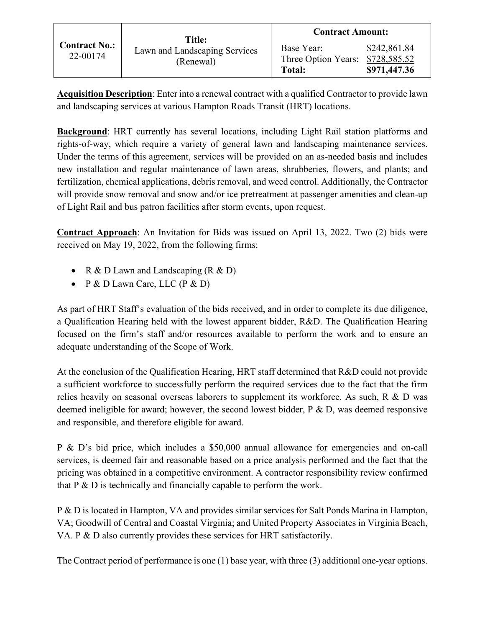|                                  | <b>Title:</b>                              | <b>Contract Amount:</b>                                         |                              |
|----------------------------------|--------------------------------------------|-----------------------------------------------------------------|------------------------------|
| <b>Contract No.:</b><br>22-00174 | Lawn and Landscaping Services<br>(Renewal) | Base Year:<br>Three Option Years: \$728,585.52<br><b>Total:</b> | \$242,861.84<br>\$971,447.36 |

**Acquisition Description**: Enter into a renewal contract with a qualified Contractor to provide lawn and landscaping services at various Hampton Roads Transit (HRT) locations.

**Background**: HRT currently has several locations, including Light Rail station platforms and rights-of-way, which require a variety of general lawn and landscaping maintenance services. Under the terms of this agreement, services will be provided on an as-needed basis and includes new installation and regular maintenance of lawn areas, shrubberies, flowers, and plants; and fertilization, chemical applications, debris removal, and weed control. Additionally, the Contractor will provide snow removal and snow and/or ice pretreatment at passenger amenities and clean-up of Light Rail and bus patron facilities after storm events, upon request.

**Contract Approach**: An Invitation for Bids was issued on April 13, 2022. Two (2) bids were received on May 19, 2022, from the following firms:

- R & D Lawn and Landscaping  $(R & D)$
- P & D Lawn Care, LLC  $(P & D)$

As part of HRT Staff's evaluation of the bids received, and in order to complete its due diligence, a Qualification Hearing held with the lowest apparent bidder, R&D. The Qualification Hearing focused on the firm's staff and/or resources available to perform the work and to ensure an adequate understanding of the Scope of Work.

At the conclusion of the Qualification Hearing, HRT staff determined that R&D could not provide a sufficient workforce to successfully perform the required services due to the fact that the firm relies heavily on seasonal overseas laborers to supplement its workforce. As such,  $R \& D$  was deemed ineligible for award; however, the second lowest bidder, P & D, was deemed responsive and responsible, and therefore eligible for award.

P & D's bid price, which includes a \$50,000 annual allowance for emergencies and on-call services, is deemed fair and reasonable based on a price analysis performed and the fact that the pricing was obtained in a competitive environment. A contractor responsibility review confirmed that P & D is technically and financially capable to perform the work.

P & D is located in Hampton, VA and provides similar services for Salt Ponds Marina in Hampton, VA; Goodwill of Central and Coastal Virginia; and United Property Associates in Virginia Beach, VA. P & D also currently provides these services for HRT satisfactorily.

The Contract period of performance is one (1) base year, with three (3) additional one-year options.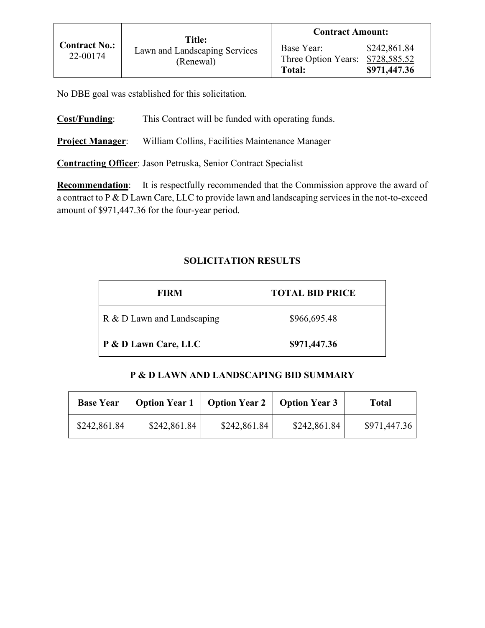No DBE goal was established for this solicitation.

**Cost/Funding**: This Contract will be funded with operating funds.

**Project Manager**: William Collins, Facilities Maintenance Manager

**Contracting Officer**: Jason Petruska, Senior Contract Specialist

**Recommendation:** It is respectfully recommended that the Commission approve the award of a contract to P & D Lawn Care, LLC to provide lawn and landscaping services in the not-to-exceed amount of \$971,447.36 for the four-year period.

# **SOLICITATION RESULTS**

| <b>FIRM</b>                | <b>TOTAL BID PRICE</b> |
|----------------------------|------------------------|
| R & D Lawn and Landscaping | \$966,695.48           |
| P & D Lawn Care, LLC       | \$971,447.36           |

#### **P & D LAWN AND LANDSCAPING BID SUMMARY**

| <b>Base Year</b> |              | <b>Option Year 1</b>   Option Year 2 | <b>Option Year 3</b> | Total        |
|------------------|--------------|--------------------------------------|----------------------|--------------|
| \$242,861.84     | \$242,861.84 | \$242,861.84                         | \$242,861.84         | \$971,447.36 |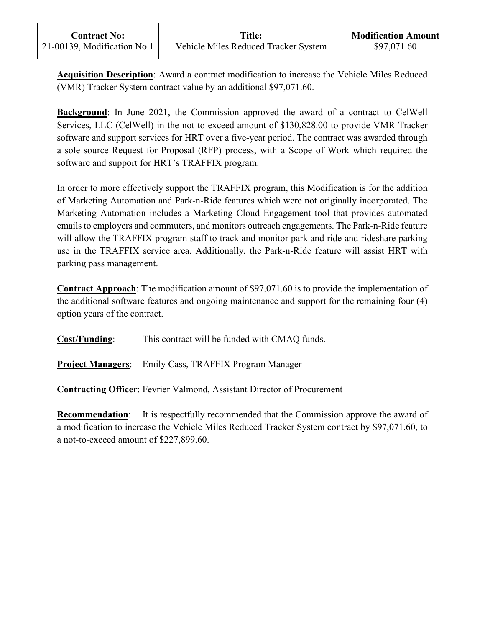**Acquisition Description**: Award a contract modification to increase the Vehicle Miles Reduced (VMR) Tracker System contract value by an additional \$97,071.60.

**Background**: In June 2021, the Commission approved the award of a contract to CelWell Services, LLC (CelWell) in the not-to-exceed amount of \$130,828.00 to provide VMR Tracker software and support services for HRT over a five-year period. The contract was awarded through a sole source Request for Proposal (RFP) process, with a Scope of Work which required the software and support for HRT's TRAFFIX program.

In order to more effectively support the TRAFFIX program, this Modification is for the addition of Marketing Automation and Park-n-Ride features which were not originally incorporated. The Marketing Automation includes a Marketing Cloud Engagement tool that provides automated emails to employers and commuters, and monitors outreach engagements. The Park-n-Ride feature will allow the TRAFFIX program staff to track and monitor park and ride and rideshare parking use in the TRAFFIX service area. Additionally, the Park-n-Ride feature will assist HRT with parking pass management.

**Contract Approach**: The modification amount of \$97,071.60 is to provide the implementation of the additional software features and ongoing maintenance and support for the remaining four (4) option years of the contract.

**Cost/Funding**: This contract will be funded with CMAQ funds.

**Project Managers**: Emily Cass, TRAFFIX Program Manager

**Contracting Officer**: Fevrier Valmond, Assistant Director of Procurement

**Recommendation:** It is respectfully recommended that the Commission approve the award of a modification to increase the Vehicle Miles Reduced Tracker System contract by \$97,071.60, to a not-to-exceed amount of \$227,899.60.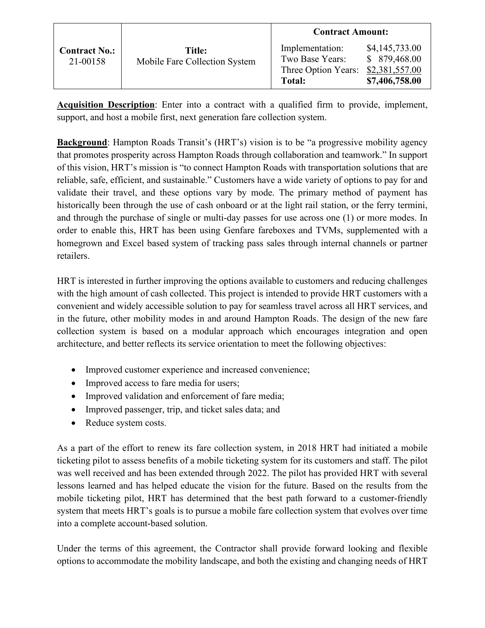|                                  |                                         | <b>Contract Amount:</b>                                             |                                                                     |
|----------------------------------|-----------------------------------------|---------------------------------------------------------------------|---------------------------------------------------------------------|
| <b>Contract No.:</b><br>21-00158 | Title:<br>Mobile Fare Collection System | Implementation:<br>Two Base Years:<br>Three Option Years:<br>Total: | \$4,145,733.00<br>\$ 879,468.00<br>\$2,381,557.00<br>\$7,406,758.00 |

**Acquisition Description**: Enter into a contract with a qualified firm to provide, implement, support, and host a mobile first, next generation fare collection system.

**Background**: Hampton Roads Transit's (HRT's) vision is to be "a progressive mobility agency that promotes prosperity across Hampton Roads through collaboration and teamwork." In support of this vision, HRT's mission is "to connect Hampton Roads with transportation solutions that are reliable, safe, efficient, and sustainable." Customers have a wide variety of options to pay for and validate their travel, and these options vary by mode. The primary method of payment has historically been through the use of cash onboard or at the light rail station, or the ferry termini, and through the purchase of single or multi-day passes for use across one (1) or more modes. In order to enable this, HRT has been using Genfare fareboxes and TVMs, supplemented with a homegrown and Excel based system of tracking pass sales through internal channels or partner retailers.

HRT is interested in further improving the options available to customers and reducing challenges with the high amount of cash collected. This project is intended to provide HRT customers with a convenient and widely accessible solution to pay for seamless travel across all HRT services, and in the future, other mobility modes in and around Hampton Roads. The design of the new fare collection system is based on a modular approach which encourages integration and open architecture, and better reflects its service orientation to meet the following objectives:

- Improved customer experience and increased convenience;
- Improved access to fare media for users;
- Improved validation and enforcement of fare media;
- Improved passenger, trip, and ticket sales data; and
- Reduce system costs.

As a part of the effort to renew its fare collection system, in 2018 HRT had initiated a mobile ticketing pilot to assess benefits of a mobile ticketing system for its customers and staff. The pilot was well received and has been extended through 2022. The pilot has provided HRT with several lessons learned and has helped educate the vision for the future. Based on the results from the mobile ticketing pilot, HRT has determined that the best path forward to a customer-friendly system that meets HRT's goals is to pursue a mobile fare collection system that evolves over time into a complete account-based solution.

Under the terms of this agreement, the Contractor shall provide forward looking and flexible options to accommodate the mobility landscape, and both the existing and changing needs of HRT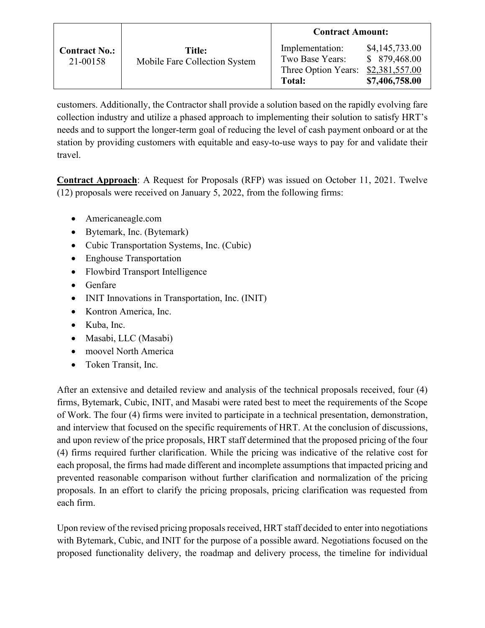|                                  |                                         | <b>Contract Amount:</b>                                             |                                                                     |
|----------------------------------|-----------------------------------------|---------------------------------------------------------------------|---------------------------------------------------------------------|
| <b>Contract No.:</b><br>21-00158 | Title:<br>Mobile Fare Collection System | Implementation:<br>Two Base Years:<br>Three Option Years:<br>Total: | \$4,145,733.00<br>\$ 879,468.00<br>\$2,381,557.00<br>\$7,406,758.00 |

customers. Additionally, the Contractor shall provide a solution based on the rapidly evolving fare collection industry and utilize a phased approach to implementing their solution to satisfy HRT's needs and to support the longer-term goal of reducing the level of cash payment onboard or at the station by providing customers with equitable and easy-to-use ways to pay for and validate their travel.

**Contract Approach**: A Request for Proposals (RFP) was issued on October 11, 2021. Twelve (12) proposals were received on January 5, 2022, from the following firms:

- Americaneagle.com
- Bytemark, Inc. (Bytemark)
- Cubic Transportation Systems, Inc. (Cubic)
- Enghouse Transportation
- Flowbird Transport Intelligence
- Genfare
- INIT Innovations in Transportation, Inc. (INIT)
- Kontron America, Inc.
- Kuba, Inc.
- Masabi, LLC (Masabi)
- moovel North America
- Token Transit, Inc.

After an extensive and detailed review and analysis of the technical proposals received, four (4) firms, Bytemark, Cubic, INIT, and Masabi were rated best to meet the requirements of the Scope of Work. The four (4) firms were invited to participate in a technical presentation, demonstration, and interview that focused on the specific requirements of HRT. At the conclusion of discussions, and upon review of the price proposals, HRT staff determined that the proposed pricing of the four (4) firms required further clarification. While the pricing was indicative of the relative cost for each proposal, the firms had made different and incomplete assumptions that impacted pricing and prevented reasonable comparison without further clarification and normalization of the pricing proposals. In an effort to clarify the pricing proposals, pricing clarification was requested from each firm.

Upon review of the revised pricing proposals received, HRT staff decided to enter into negotiations with Bytemark, Cubic, and INIT for the purpose of a possible award. Negotiations focused on the proposed functionality delivery, the roadmap and delivery process, the timeline for individual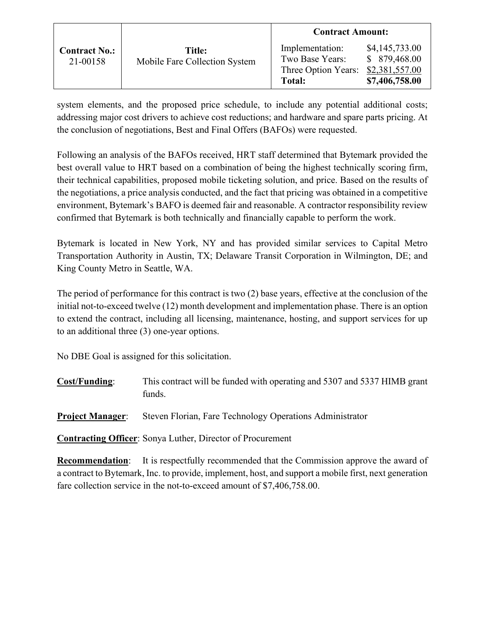|                                  |                                         | <b>Contract Amount:</b>                                             |                                                                    |
|----------------------------------|-----------------------------------------|---------------------------------------------------------------------|--------------------------------------------------------------------|
| <b>Contract No.:</b><br>21-00158 | Title:<br>Mobile Fare Collection System | Implementation:<br>Two Base Years:<br>Three Option Years:<br>Total: | \$4,145,733.00<br>\$879,468.00<br>\$2,381,557.00<br>\$7,406,758.00 |

system elements, and the proposed price schedule, to include any potential additional costs; addressing major cost drivers to achieve cost reductions; and hardware and spare parts pricing. At the conclusion of negotiations, Best and Final Offers (BAFOs) were requested.

Following an analysis of the BAFOs received, HRT staff determined that Bytemark provided the best overall value to HRT based on a combination of being the highest technically scoring firm, their technical capabilities, proposed mobile ticketing solution, and price. Based on the results of the negotiations, a price analysis conducted, and the fact that pricing was obtained in a competitive environment, Bytemark's BAFO is deemed fair and reasonable. A contractor responsibility review confirmed that Bytemark is both technically and financially capable to perform the work.

Bytemark is located in New York, NY and has provided similar services to Capital Metro Transportation Authority in Austin, TX; Delaware Transit Corporation in Wilmington, DE; and King County Metro in Seattle, WA.

The period of performance for this contract is two (2) base years, effective at the conclusion of the initial not-to-exceed twelve (12) month development and implementation phase. There is an option to extend the contract, including all licensing, maintenance, hosting, and support services for up to an additional three (3) one-year options.

No DBE Goal is assigned for this solicitation.

**Cost/Funding**: This contract will be funded with operating and 5307 and 5337 HIMB grant funds.

**Project Manager:** Steven Florian, Fare Technology Operations Administrator

**Contracting Officer**: Sonya Luther, Director of Procurement

**Recommendation:** It is respectfully recommended that the Commission approve the award of a contract to Bytemark, Inc. to provide, implement, host, and support a mobile first, next generation fare collection service in the not-to-exceed amount of \$7,406,758.00.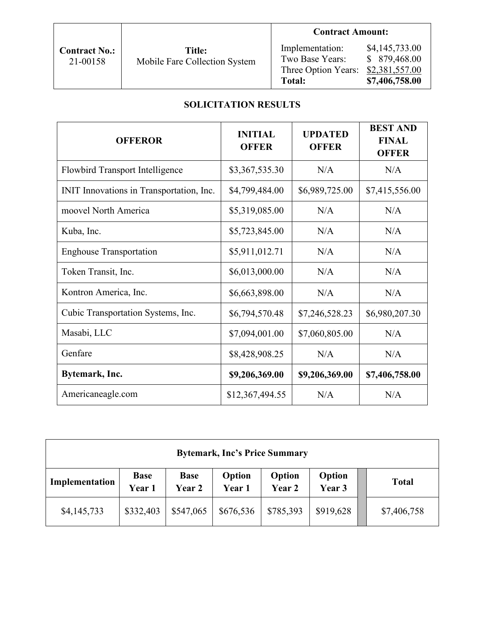| <b>Contract No.:</b> |  |
|----------------------|--|
| 21-00158             |  |

# **Title:** Mobile Fare Collection System

# **Contract Amount:**

| Implementation:     | \$4,145,733.00 |
|---------------------|----------------|
| Two Base Years:     | \$879,468.00   |
| Three Option Years: | \$2,381,557.00 |
| Total:              | \$7,406,758.00 |

# **SOLICITATION RESULTS**

| <b>OFFEROR</b>                           | <b>INITIAL</b><br><b>OFFER</b> | <b>UPDATED</b><br><b>OFFER</b> | <b>BEST AND</b><br><b>FINAL</b><br><b>OFFER</b> |
|------------------------------------------|--------------------------------|--------------------------------|-------------------------------------------------|
| <b>Flowbird Transport Intelligence</b>   | \$3,367,535.30                 | N/A                            | N/A                                             |
| INIT Innovations in Transportation, Inc. | \$4,799,484.00                 | \$6,989,725.00                 | \$7,415,556.00                                  |
| moovel North America                     | \$5,319,085.00                 | N/A                            | N/A                                             |
| Kuba, Inc.                               | \$5,723,845.00                 | N/A                            | N/A                                             |
| <b>Enghouse Transportation</b>           | \$5,911,012.71                 | N/A                            | N/A                                             |
| Token Transit, Inc.                      | \$6,013,000.00                 | N/A                            | N/A                                             |
| Kontron America, Inc.                    | \$6,663,898.00                 | N/A                            | N/A                                             |
| Cubic Transportation Systems, Inc.       | \$6,794,570.48                 | \$7,246,528.23                 | \$6,980,207.30                                  |
| Masabi, LLC                              | \$7,094,001.00                 | \$7,060,805.00                 | N/A                                             |
| Genfare                                  | \$8,428,908.25                 | N/A                            | N/A                                             |
| Bytemark, Inc.                           | \$9,206,369.00                 | \$9,206,369.00                 | \$7,406,758.00                                  |
| Americaneagle.com                        | \$12,367,494.55                | N/A                            | N/A                                             |

| <b>Bytemark, Inc's Price Summary</b> |                       |                       |                  |                  |                  |              |  |
|--------------------------------------|-----------------------|-----------------------|------------------|------------------|------------------|--------------|--|
| Implementation                       | <b>Base</b><br>Year 1 | <b>Base</b><br>Year 2 | Option<br>Year 1 | Option<br>Year 2 | Option<br>Year 3 | <b>Total</b> |  |
| \$4,145,733                          | \$332,403             | \$547,065             | \$676,536        | \$785,393        | \$919,628        | \$7,406,758  |  |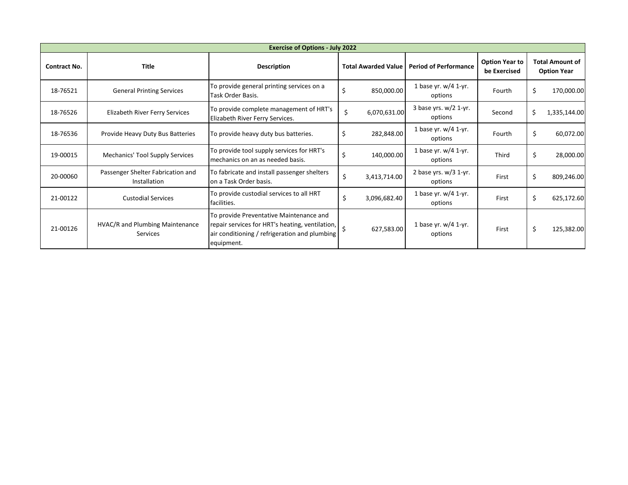| <b>Exercise of Options - July 2022</b> |                                                   |                                                                                                                                                           |                            |              |                                    |                                       |                                              |              |
|----------------------------------------|---------------------------------------------------|-----------------------------------------------------------------------------------------------------------------------------------------------------------|----------------------------|--------------|------------------------------------|---------------------------------------|----------------------------------------------|--------------|
| <b>Contract No.</b>                    | <b>Title</b>                                      | <b>Description</b>                                                                                                                                        | <b>Total Awarded Value</b> |              | <b>Period of Performance</b>       | <b>Option Year to</b><br>be Exercised | <b>Total Amount of</b><br><b>Option Year</b> |              |
| 18-76521                               | <b>General Printing Services</b>                  | To provide general printing services on a<br>Task Order Basis.                                                                                            | Ś                          | 850,000.00   | 1 base yr. $w/4$ 1-yr.<br>options  | Fourth                                | \$                                           | 170,000.00   |
| 18-76526                               | Elizabeth River Ferry Services                    | To provide complete management of HRT's<br>Elizabeth River Ferry Services.                                                                                | \$                         | 6,070,631.00 | 3 base yrs. $w/2$ 1-yr.<br>options | Second                                | \$                                           | 1,335,144.00 |
| 18-76536                               | Provide Heavy Duty Bus Batteries                  | To provide heavy duty bus batteries.                                                                                                                      | \$                         | 282,848.00   | 1 base yr. $w/4$ 1-yr.<br>options  | <b>Fourth</b>                         | \$                                           | 60,072.00    |
| 19-00015                               | <b>Mechanics' Tool Supply Services</b>            | To provide tool supply services for HRT's<br>mechanics on an as needed basis.                                                                             | Ś                          | 140,000.00   | 1 base yr. $w/4$ 1-yr.<br>options  | Third                                 | \$                                           | 28,000.00    |
| 20-00060                               | Passenger Shelter Fabrication and<br>Installation | To fabricate and install passenger shelters<br>on a Task Order basis.                                                                                     |                            | 3,413,714.00 | 2 base yrs. $w/3$ 1-yr.<br>options | First                                 | \$                                           | 809,246.00   |
| 21-00122                               | <b>Custodial Services</b>                         | To provide custodial services to all HRT<br>facilities.                                                                                                   |                            | 3,096,682.40 | 1 base yr. $w/4$ 1-yr.<br>options  | First                                 | \$                                           | 625,172.60   |
| 21-00126                               | HVAC/R and Plumbing Maintenance<br>Services       | To provide Preventative Maintenance and<br>repair services for HRT's heating, ventilation,<br>air conditioning / refrigeration and plumbing<br>equipment. |                            | 627,583.00   | 1 base yr. $w/4$ 1-yr.<br>options  | First                                 | \$                                           | 125,382.00   |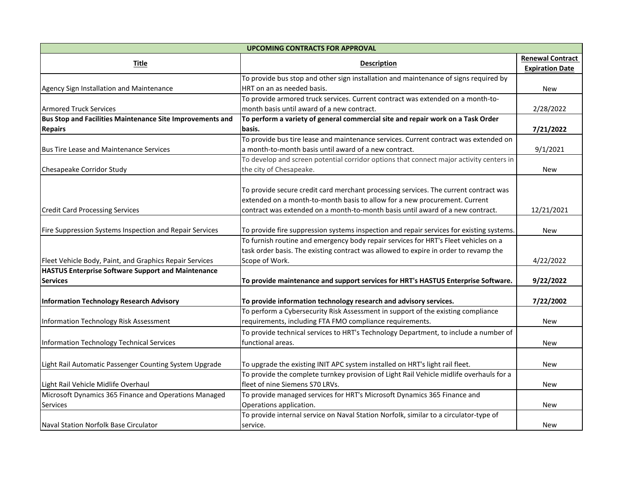| <b>UPCOMING CONTRACTS FOR APPROVAL</b>                    |                                                                                          |                         |  |  |  |  |
|-----------------------------------------------------------|------------------------------------------------------------------------------------------|-------------------------|--|--|--|--|
|                                                           |                                                                                          | <b>Renewal Contract</b> |  |  |  |  |
| <b>Title</b>                                              | <b>Description</b>                                                                       | <b>Expiration Date</b>  |  |  |  |  |
|                                                           | To provide bus stop and other sign installation and maintenance of signs required by     |                         |  |  |  |  |
| Agency Sign Installation and Maintenance                  | HRT on an as needed basis.                                                               | <b>New</b>              |  |  |  |  |
|                                                           | To provide armored truck services. Current contract was extended on a month-to-          |                         |  |  |  |  |
| <b>Armored Truck Services</b>                             | month basis until award of a new contract.                                               | 2/28/2022               |  |  |  |  |
| Bus Stop and Facilities Maintenance Site Improvements and | To perform a variety of general commercial site and repair work on a Task Order          |                         |  |  |  |  |
| <b>Repairs</b>                                            | basis.                                                                                   | 7/21/2022               |  |  |  |  |
|                                                           | To provide bus tire lease and maintenance services. Current contract was extended on     |                         |  |  |  |  |
| <b>Bus Tire Lease and Maintenance Services</b>            | a month-to-month basis until award of a new contract.                                    | 9/1/2021                |  |  |  |  |
|                                                           | To develop and screen potential corridor options that connect major activity centers in  |                         |  |  |  |  |
| Chesapeake Corridor Study                                 | the city of Chesapeake.                                                                  | <b>New</b>              |  |  |  |  |
|                                                           |                                                                                          |                         |  |  |  |  |
|                                                           | To provide secure credit card merchant processing services. The current contract was     |                         |  |  |  |  |
|                                                           | extended on a month-to-month basis to allow for a new procurement. Current               |                         |  |  |  |  |
| <b>Credit Card Processing Services</b>                    | contract was extended on a month-to-month basis until award of a new contract.           | 12/21/2021              |  |  |  |  |
|                                                           |                                                                                          |                         |  |  |  |  |
| Fire Suppression Systems Inspection and Repair Services   | To provide fire suppression systems inspection and repair services for existing systems. | New                     |  |  |  |  |
|                                                           | To furnish routine and emergency body repair services for HRT's Fleet vehicles on a      |                         |  |  |  |  |
|                                                           | task order basis. The existing contract was allowed to expire in order to revamp the     |                         |  |  |  |  |
| Fleet Vehicle Body, Paint, and Graphics Repair Services   | Scope of Work.                                                                           | 4/22/2022               |  |  |  |  |
| <b>HASTUS Enterprise Software Support and Maintenance</b> |                                                                                          |                         |  |  |  |  |
| <b>Services</b>                                           | To provide maintenance and support services for HRT's HASTUS Enterprise Software.        | 9/22/2022               |  |  |  |  |
|                                                           |                                                                                          |                         |  |  |  |  |
| <b>Information Technology Research Advisory</b>           | To provide information technology research and advisory services.                        | 7/22/2002               |  |  |  |  |
|                                                           | To perform a Cybersecurity Risk Assessment in support of the existing compliance         |                         |  |  |  |  |
| Information Technology Risk Assessment                    | requirements, including FTA FMO compliance requirements.                                 | <b>New</b>              |  |  |  |  |
|                                                           | To provide technical services to HRT's Technology Department, to include a number of     |                         |  |  |  |  |
| Information Technology Technical Services                 | functional areas.                                                                        | <b>New</b>              |  |  |  |  |
|                                                           |                                                                                          |                         |  |  |  |  |
| Light Rail Automatic Passenger Counting System Upgrade    | To upgrade the existing INIT APC system installed on HRT's light rail fleet.             | <b>New</b>              |  |  |  |  |
|                                                           | To provide the complete turnkey provision of Light Rail Vehicle midlife overhauls for a  |                         |  |  |  |  |
| Light Rail Vehicle Midlife Overhaul                       | fleet of nine Siemens S70 LRVs.                                                          | <b>New</b>              |  |  |  |  |
| Microsoft Dynamics 365 Finance and Operations Managed     | To provide managed services for HRT's Microsoft Dynamics 365 Finance and                 |                         |  |  |  |  |
| Services                                                  | Operations application.                                                                  | New                     |  |  |  |  |
|                                                           | To provide internal service on Naval Station Norfolk, similar to a circulator-type of    |                         |  |  |  |  |
| Naval Station Norfolk Base Circulator                     | service.                                                                                 | New                     |  |  |  |  |